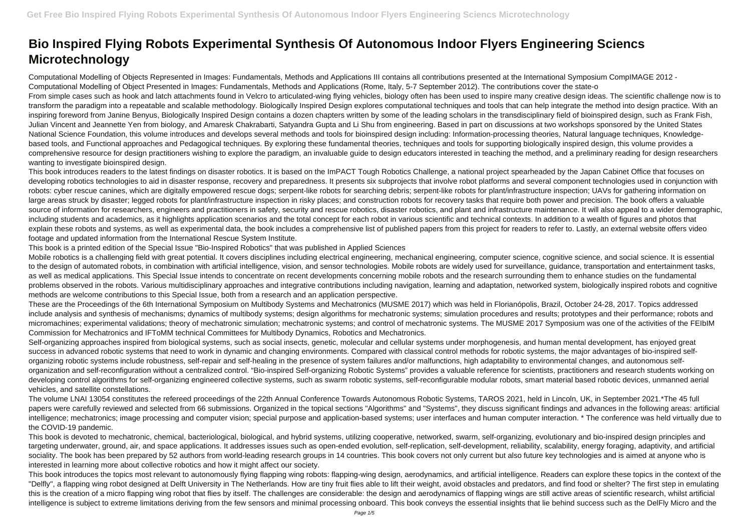Computational Modelling of Objects Represented in Images: Fundamentals, Methods and Applications III contains all contributions presented at the International Symposium CompIMAGE 2012 - Computational Modelling of Object Presented in Images: Fundamentals, Methods and Applications (Rome, Italy, 5-7 September 2012). The contributions cover the state-o From simple cases such as hook and latch attachments found in Velcro to articulated-wing flying vehicles, biology often has been used to inspire many creative design ideas. The scientific challenge now is to transform the paradigm into a repeatable and scalable methodology. Biologically Inspired Design explores computational techniques and tools that can help integrate the method into design practice. With an inspiring foreword from Janine Benyus, Biologically Inspired Design contains a dozen chapters written by some of the leading scholars in the transdisciplinary field of bioinspired design, such as Frank Fish, Julian Vincent and Jeannette Yen from biology, and Amaresk Chakrabarti, Satyandra Gupta and Li Shu from engineering. Based in part on discussions at two workshops sponsored by the United States National Science Foundation, this volume introduces and develops several methods and tools for bioinspired design including: Information-processing theories, Natural language techniques, Knowledgebased tools, and Functional approaches and Pedagogical techniques. By exploring these fundamental theories, techniques and tools for supporting biologically inspired design, this volume provides a comprehensive resource for design practitioners wishing to explore the paradigm, an invaluable guide to design educators interested in teaching the method, and a preliminary reading for design researchers wanting to investigate bioinspired design.

## **Bio Inspired Flying Robots Experimental Synthesis Of Autonomous Indoor Flyers Engineering Sciencs Microtechnology**

Mobile robotics is a challenging field with great potential. It covers disciplines including electrical engineering, mechanical engineering, computer science, cognitive science, and social science. It is essential to the design of automated robots, in combination with artificial intelligence, vision, and sensor technologies. Mobile robots are widely used for surveillance, guidance, transportation and entertainment tasks, as well as medical applications. This Special Issue intends to concentrate on recent developments concerning mobile robots and the research surrounding them to enhance studies on the fundamental problems observed in the robots. Various multidisciplinary approaches and integrative contributions including navigation, learning and adaptation, networked system, biologically inspired robots and cognitive methods are welcome contributions to this Special Issue, both from a research and an application perspective.

This book introduces readers to the latest findings on disaster robotics. It is based on the ImPACT Tough Robotics Challenge, a national project spearheaded by the Japan Cabinet Office that focuses on developing robotics technologies to aid in disaster response, recovery and preparedness. It presents six subprojects that involve robot platforms and several component technologies used in conjunction with robots: cyber rescue canines, which are digitally empowered rescue dogs; serpent-like robots for searching debris; serpent-like robots for plant/infrastructure inspection; UAVs for gathering information on large areas struck by disaster; legged robots for plant/infrastructure inspection in risky places; and construction robots for recovery tasks that require both power and precision. The book offers a valuable source of information for researchers, engineers and practitioners in safety, security and rescue robotics, disaster robotics, and plant and infrastructure maintenance. It will also appeal to a wider demographic, including students and academics, as it highlights application scenarios and the total concept for each robot in various scientific and technical contexts. In addition to a wealth of figures and photos that explain these robots and systems, as well as experimental data, the book includes a comprehensive list of published papers from this project for readers to refer to. Lastly, an external website offers video footage and updated information from the International Rescue System Institute.

Self-organizing approaches inspired from biological systems, such as social insects, genetic, molecular and cellular systems under morphogenesis, and human mental development, has enjoyed great success in advanced robotic systems that need to work in dynamic and changing environments. Compared with classical control methods for robotic systems, the major advantages of bio-inspired selforganizing robotic systems include robustness, self-repair and self-healing in the presence of system failures and/or malfunctions, high adaptability to environmental changes, and autonomous selforganization and self-reconfiguration without a centralized control. "Bio-inspired Self-organizing Robotic Systems" provides a valuable reference for scientists, practitioners and research students working on developing control algorithms for self-organizing engineered collective systems, such as swarm robotic systems, self-reconfigurable modular robots, smart material based robotic devices, unmanned aerial vehicles, and satellite constellations.

This book is a printed edition of the Special Issue "Bio-Inspired Robotics" that was published in Applied Sciences

These are the Proceedings of the 6th International Symposium on Multibody Systems and Mechatronics (MUSME 2017) which was held in Florianópolis, Brazil, October 24-28, 2017. Topics addressed include analysis and synthesis of mechanisms; dynamics of multibody systems; design algorithms for mechatronic systems; simulation procedures and results; prototypes and their performance; robots and micromachines; experimental validations; theory of mechatronic simulation; mechatronic systems; and control of mechatronic systems. The MUSME 2017 Symposium was one of the activities of the FEIbIM Commission for Mechatronics and IFToMM technical Committees for Multibody Dynamics, Robotics and Mechatronics.

The volume LNAI 13054 constitutes the refereed proceedings of the 22th Annual Conference Towards Autonomous Robotic Systems, TAROS 2021, held in Lincoln, UK, in September 2021.\*The 45 full papers were carefully reviewed and selected from 66 submissions. Organized in the topical sections "Algorithms" and "Systems", they discuss significant findings and advances in the following areas: artificial intelligence; mechatronics; image processing and computer vision; special purpose and application-based systems; user interfaces and human computer interaction. \* The conference was held virtually due to the COVID-19 pandemic.

This book is devoted to mechatronic, chemical, bacteriological, biological, and hybrid systems, utilizing cooperative, networked, swarm, self-organizing, evolutionary and bio-inspired design principles and targeting underwater, ground, air, and space applications. It addresses issues such as open-ended evolution, self-replication, self-development, reliability, scalability, energy foraging, adaptivity, and artificial sociality. The book has been prepared by 52 authors from world-leading research groups in 14 countries. This book covers not only current but also future key technologies and is aimed at anyone who is interested in learning more about collective robotics and how it might affect our society.

This book introduces the topics most relevant to autonomously flying flapping wing robots: flapping-wing design, aerodynamics, and artificial intelligence. Readers can explore these topics in the context of the "Delfly", a flapping wing robot designed at Delft University in The Netherlands. How are tiny fruit flies able to lift their weight, avoid obstacles and predators, and find food or shelter? The first step in emulating this is the creation of a micro flapping wing robot that flies by itself. The challenges are considerable: the design and aerodynamics of flapping wings are still active areas of scientific research, whilst artificial intelligence is subject to extreme limitations deriving from the few sensors and minimal processing onboard. This book conveys the essential insights that lie behind success such as the DelFly Micro and the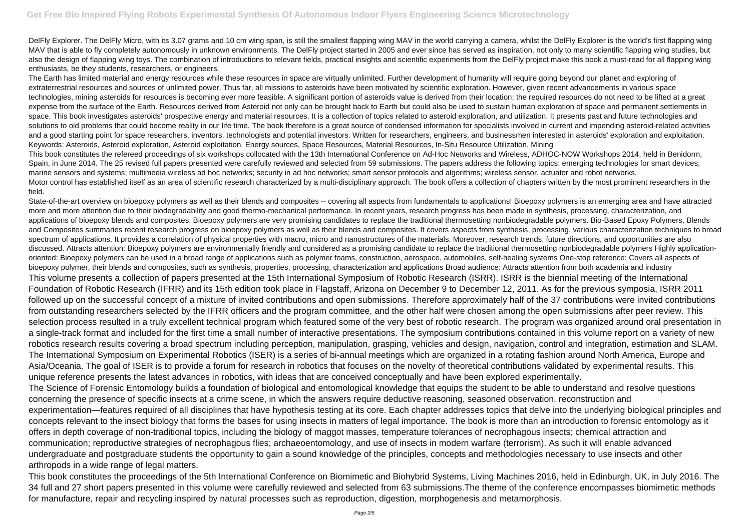DelFly Explorer. The DelFly Micro, with its 3.07 grams and 10 cm wing span, is still the smallest flapping wing MAV in the world carrying a camera, whilst the DelFly Explorer is the world's first flapping wing MAV that is able to fly completely autonomously in unknown environments. The DelFly project started in 2005 and ever since has served as inspiration, not only to many scientific flapping wing studies, but also the design of flapping wing toys. The combination of introductions to relevant fields, practical insights and scientific experiments from the DelFly project make this book a must-read for all flapping wing enthusiasts, be they students, researchers, or engineers.

The Earth has limited material and energy resources while these resources in space are virtually unlimited. Further development of humanity will require going beyond our planet and exploring of extraterrestrial resources and sources of unlimited power. Thus far, all missions to asteroids have been motivated by scientific exploration. However, given recent advancements in various space technologies, mining asteroids for resources is becoming ever more feasible. A significant portion of asteroids value is derived from their location; the required resources do not need to be lifted at a great expense from the surface of the Earth. Resources derived from Asteroid not only can be brought back to Earth but could also be used to sustain human exploration of space and permanent settlements in space. This book investigates asteroids' prospective energy and material resources. It is a collection of topics related to asteroid exploration, and utilization. It presents past and future technologies and solutions to old problems that could become reality in our life time. The book therefore is a great source of condensed information for specialists involved in current and impending asteroid-related activities and a good starting point for space researchers, inventors, technologists and potential investors. Written for researchers, engineers, and businessmen interested in asteroids' exploration and exploitation. Keywords: Asteroids, Asteroid exploration, Asteroid exploitation, Energy sources, Space Resources, Material Resources, In-Situ Resource Utilization, Mining This book constitutes the refereed proceedings of six workshops collocated with the 13th International Conference on Ad-Hoc Networks and Wireless, ADHOC-NOW Workshops 2014, held in Benidorm, Spain, in June 2014. The 25 revised full papers presented were carefully reviewed and selected from 59 submissions. The papers address the following topics: emerging technologies for smart devices; marine sensors and systems; multimedia wireless ad hoc networks; security in ad hoc networks; smart sensor protocols and algorithms; wireless sensor, actuator and robot networks. Motor control has established itself as an area of scientific research characterized by a multi-disciplinary approach. The book offers a collection of chapters written by the most prominent researchers in the field.

State-of-the-art overview on bioepoxy polymers as well as their blends and composites -- covering all aspects from fundamentals to applications! Bioepoxy polymers is an emerging area and have attracted more and more attention due to their biodegradability and good thermo-mechanical performance. In recent years, research progress has been made in synthesis, processing, characterization, and applications of bioepoxy blends and composites. Bioepoxy polymers are very promising candidates to replace the traditional thermosetting nonbiodegradable polymers. Bio-Based Epoxy Polymers, Blends and Composites summaries recent research progress on bioepoxy polymers as well as their blends and composites. It covers aspects from synthesis, processing, various characterization techniques to broad spectrum of applications. It provides a correlation of physical properties with macro, micro and nanostructures of the materials. Moreover, research trends, future directions, and opportunities are also discussed. Attracts attention: Bioepoxy polymers are environmentally friendly and considered as a promising candidate to replace the traditional thermosetting nonbiodegradable polymers Highly applicationoriented: Bioepoxy polymers can be used in a broad range of applications such as polymer foams, construction, aerospace, automobiles, self-healing systems One-stop reference: Covers all aspects of bioepoxy polymer, their blends and composites, such as synthesis, properties, processing, characterization and applications Broad audience: Attracts attention from both academia and industry This volume presents a collection of papers presented at the 15th International Symposium of Robotic Research (ISRR). ISRR is the biennial meeting of the International Foundation of Robotic Research (IFRR) and its 15th edition took place in Flagstaff, Arizona on December 9 to December 12, 2011. As for the previous symposia, ISRR 2011 followed up on the successful concept of a mixture of invited contributions and open submissions. Therefore approximately half of the 37 contributions were invited contributions from outstanding researchers selected by the IFRR officers and the program committee, and the other half were chosen among the open submissions after peer review. This selection process resulted in a truly excellent technical program which featured some of the very best of robotic research. The program was organized around oral presentation in a single-track format and included for the first time a small number of interactive presentations. The symposium contributions contained in this volume report on a variety of new robotics research results covering a broad spectrum including perception, manipulation, grasping, vehicles and design, navigation, control and integration, estimation and SLAM. The International Symposium on Experimental Robotics (ISER) is a series of bi-annual meetings which are organized in a rotating fashion around North America, Europe and Asia/Oceania. The goal of ISER is to provide a forum for research in robotics that focuses on the novelty of theoretical contributions validated by experimental results. This unique reference presents the latest advances in robotics, with ideas that are conceived conceptually and have been explored experimentally. The Science of Forensic Entomology builds a foundation of biological and entomological knowledge that equips the student to be able to understand and resolve questions concerning the presence of specific insects at a crime scene, in which the answers require deductive reasoning, seasoned observation, reconstruction and experimentation—features required of all disciplines that have hypothesis testing at its core. Each chapter addresses topics that delve into the underlying biological principles and concepts relevant to the insect biology that forms the bases for using insects in matters of legal importance. The book is more than an introduction to forensic entomology as it offers in depth coverage of non-traditional topics, including the biology of maggot masses, temperature tolerances of necrophagous insects; chemical attraction and communication; reproductive strategies of necrophagous flies; archaeoentomology, and use of insects in modern warfare (terrorism). As such it will enable advanced undergraduate and postgraduate students the opportunity to gain a sound knowledge of the principles, concepts and methodologies necessary to use insects and other arthropods in a wide range of legal matters.

This book constitutes the proceedings of the 5th International Conference on Biomimetic and Biohybrid Systems, Living Machines 2016, held in Edinburgh, UK, in July 2016. The 34 full and 27 short papers presented in this volume were carefully reviewed and selected from 63 submissions.The theme of the conference encompasses biomimetic methods for manufacture, repair and recycling inspired by natural processes such as reproduction, digestion, morphogenesis and metamorphosis.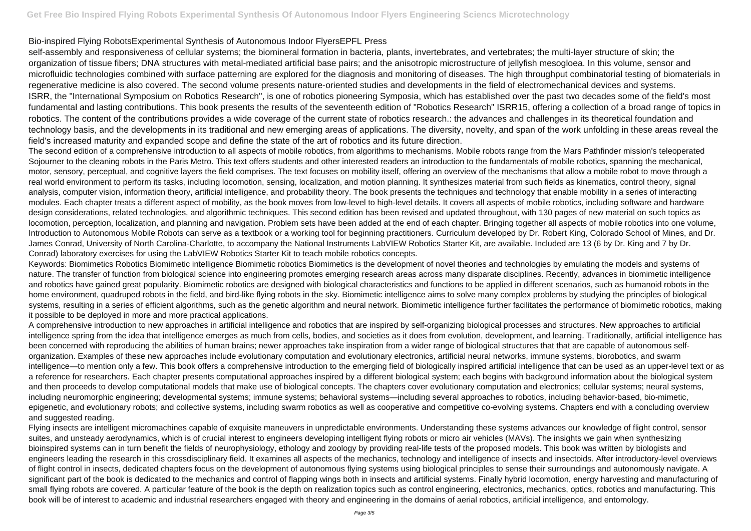## Bio-inspired Flying RobotsExperimental Synthesis of Autonomous Indoor FlyersEPFL Press

self-assembly and responsiveness of cellular systems; the biomineral formation in bacteria, plants, invertebrates, and vertebrates; the multi-layer structure of skin; the organization of tissue fibers; DNA structures with metal-mediated artificial base pairs; and the anisotropic microstructure of jellyfish mesogloea. In this volume, sensor and microfluidic technologies combined with surface patterning are explored for the diagnosis and monitoring of diseases. The high throughput combinatorial testing of biomaterials in regenerative medicine is also covered. The second volume presents nature-oriented studies and developments in the field of electromechanical devices and systems. ISRR, the "International Symposium on Robotics Research", is one of robotics pioneering Symposia, which has established over the past two decades some of the field's most fundamental and lasting contributions. This book presents the results of the seventeenth edition of "Robotics Research" ISRR15, offering a collection of a broad range of topics in robotics. The content of the contributions provides a wide coverage of the current state of robotics research.: the advances and challenges in its theoretical foundation and technology basis, and the developments in its traditional and new emerging areas of applications. The diversity, novelty, and span of the work unfolding in these areas reveal the field's increased maturity and expanded scope and define the state of the art of robotics and its future direction.

The second edition of a comprehensive introduction to all aspects of mobile robotics, from algorithms to mechanisms. Mobile robots range from the Mars Pathfinder mission's teleoperated Sojourner to the cleaning robots in the Paris Metro. This text offers students and other interested readers an introduction to the fundamentals of mobile robotics, spanning the mechanical, motor, sensory, perceptual, and cognitive layers the field comprises. The text focuses on mobility itself, offering an overview of the mechanisms that allow a mobile robot to move through a real world environment to perform its tasks, including locomotion, sensing, localization, and motion planning. It synthesizes material from such fields as kinematics, control theory, signal analysis, computer vision, information theory, artificial intelligence, and probability theory. The book presents the techniques and technology that enable mobility in a series of interacting modules. Each chapter treats a different aspect of mobility, as the book moves from low-level to high-level details. It covers all aspects of mobile robotics, including software and hardware design considerations, related technologies, and algorithmic techniques. This second edition has been revised and updated throughout, with 130 pages of new material on such topics as locomotion, perception, localization, and planning and navigation. Problem sets have been added at the end of each chapter. Bringing together all aspects of mobile robotics into one volume, Introduction to Autonomous Mobile Robots can serve as a textbook or a working tool for beginning practitioners. Curriculum developed by Dr. Robert King, Colorado School of Mines, and Dr. James Conrad, University of North Carolina-Charlotte, to accompany the National Instruments LabVIEW Robotics Starter Kit, are available. Included are 13 (6 by Dr. King and 7 by Dr. Conrad) laboratory exercises for using the LabVIEW Robotics Starter Kit to teach mobile robotics concepts.

Keywords: Biomimetics Robotics Biomimetic intelligence Biomimetic robotics Biomimetics is the development of novel theories and technologies by emulating the models and systems of nature. The transfer of function from biological science into engineering promotes emerging research areas across many disparate disciplines. Recently, advances in biomimetic intelligence and robotics have gained great popularity. Biomimetic robotics are designed with biological characteristics and functions to be applied in different scenarios, such as humanoid robots in the home environment, quadruped robots in the field, and bird-like flying robots in the sky. Biomimetic intelligence aims to solve many complex problems by studying the principles of biological systems, resulting in a series of efficient algorithms, such as the genetic algorithm and neural network. Biomimetic intelligence further facilitates the performance of biomimetic robotics, making it possible to be deployed in more and more practical applications.

A comprehensive introduction to new approaches in artificial intelligence and robotics that are inspired by self-organizing biological processes and structures. New approaches to artificial intelligence spring from the idea that intelligence emerges as much from cells, bodies, and societies as it does from evolution, development, and learning. Traditionally, artificial intelligence has been concerned with reproducing the abilities of human brains; newer approaches take inspiration from a wider range of biological structures that that are capable of autonomous selforganization. Examples of these new approaches include evolutionary computation and evolutionary electronics, artificial neural networks, immune systems, biorobotics, and swarm intelligence—to mention only a few. This book offers a comprehensive introduction to the emerging field of biologically inspired artificial intelligence that can be used as an upper-level text or as a reference for researchers. Each chapter presents computational approaches inspired by a different biological system; each begins with background information about the biological system and then proceeds to develop computational models that make use of biological concepts. The chapters cover evolutionary computation and electronics; cellular systems; neural systems, including neuromorphic engineering; developmental systems; immune systems; behavioral systems—including several approaches to robotics, including behavior-based, bio-mimetic, epigenetic, and evolutionary robots; and collective systems, including swarm robotics as well as cooperative and competitive co-evolving systems. Chapters end with a concluding overview and suggested reading.

Flying insects are intelligent micromachines capable of exquisite maneuvers in unpredictable environments. Understanding these systems advances our knowledge of flight control, sensor suites, and unsteady aerodynamics, which is of crucial interest to engineers developing intelligent flying robots or micro air vehicles (MAVs). The insights we gain when synthesizing bioinspired systems can in turn benefit the fields of neurophysiology, ethology and zoology by providing real-life tests of the proposed models. This book was written by biologists and engineers leading the research in this crossdisciplinary field. It examines all aspects of the mechanics, technology and intelligence of insects and insectoids. After introductory-level overviews of flight control in insects, dedicated chapters focus on the development of autonomous flying systems using biological principles to sense their surroundings and autonomously navigate. A significant part of the book is dedicated to the mechanics and control of flapping wings both in insects and artificial systems. Finally hybrid locomotion, energy harvesting and manufacturing of small flying robots are covered. A particular feature of the book is the depth on realization topics such as control engineering, electronics, mechanics, optics, robotics and manufacturing. This book will be of interest to academic and industrial researchers engaged with theory and engineering in the domains of aerial robotics, artificial intelligence, and entomology.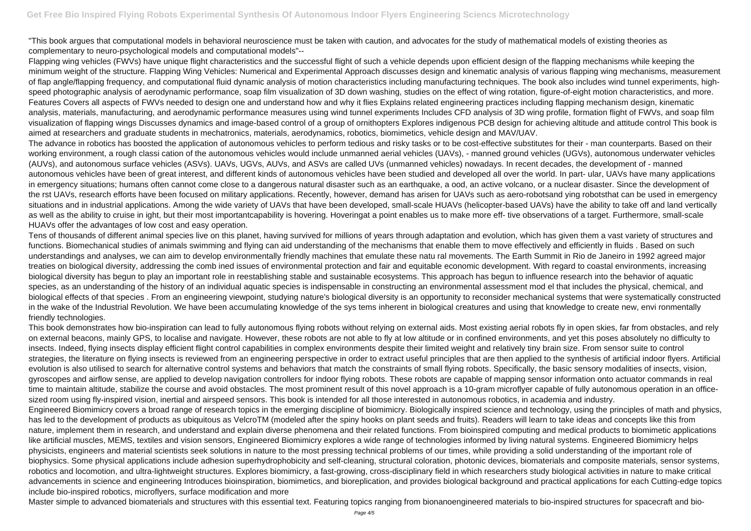"This book argues that computational models in behavioral neuroscience must be taken with caution, and advocates for the study of mathematical models of existing theories as complementary to neuro-psychological models and computational models"--

Flapping wing vehicles (FWVs) have unique flight characteristics and the successful flight of such a vehicle depends upon efficient design of the flapping mechanisms while keeping the minimum weight of the structure. Flapping Wing Vehicles: Numerical and Experimental Approach discusses design and kinematic analysis of various flapping wing mechanisms, measurement of flap angle/flapping frequency, and computational fluid dynamic analysis of motion characteristics including manufacturing techniques. The book also includes wind tunnel experiments, highspeed photographic analysis of aerodynamic performance, soap film visualization of 3D down washing, studies on the effect of wing rotation, figure-of-eight motion characteristics, and more. Features Covers all aspects of FWVs needed to design one and understand how and why it flies Explains related engineering practices including flapping mechanism design, kinematic analysis, materials, manufacturing, and aerodynamic performance measures using wind tunnel experiments Includes CFD analysis of 3D wing profile, formation flight of FWVs, and soap film visualization of flapping wings Discusses dynamics and image-based control of a group of ornithopters Explores indigenous PCB design for achieving altitude and attitude control This book is aimed at researchers and graduate students in mechatronics, materials, aerodynamics, robotics, biomimetics, vehicle design and MAV/UAV.

The advance in robotics has boosted the application of autonomous vehicles to perform tedious and risky tasks or to be cost-effective substitutes for their - man counterparts. Based on their working environment, a rough classi cation of the autonomous vehicles would include unmanned aerial vehicles (UAVs), - manned ground vehicles (UGVs), autonomous underwater vehicles (AUVs), and autonomous surface vehicles (ASVs). UAVs, UGVs, AUVs, and ASVs are called UVs (unmanned vehicles) nowadays. In recent decades, the development of - manned autonomous vehicles have been of great interest, and different kinds of autonomous vehicles have been studied and developed all over the world. In part- ular, UAVs have many applications in emergency situations; humans often cannot come close to a dangerous natural disaster such as an earthquake, a ood, an active volcano, or a nuclear disaster. Since the development of the rst UAVs, research efforts have been focused on military applications. Recently, however, demand has arisen for UAVs such as aero-robotsand ying robotsthat can be used in emergency situations and in industrial applications. Among the wide variety of UAVs that have been developed, small-scale HUAVs (helicopter-based UAVs) have the ability to take off and land vertically as well as the ability to cruise in ight, but their most importantcapability is hovering. Hoveringat a point enables us to make more eff- tive observations of a target. Furthermore, small-scale HUAVs offer the advantages of low cost and easy operation.

Tens of thousands of different animal species live on this planet, having survived for millions of years through adaptation and evolution, which has given them a vast variety of structures and functions. Biomechanical studies of animals swimming and flying can aid understanding of the mechanisms that enable them to move effectively and efficiently in fluids . Based on such understandings and analyses, we can aim to develop environmentally friendly machines that emulate these natu ral movements. The Earth Summit in Rio de Janeiro in 1992 agreed major treaties on biological diversity, addressing the comb ined issues of environmental protection and fair and equitable economic development. With regard to coastal environments, increasing biological diversity has begun to play an important role in reestablishing stable and sustainable ecosystems. This approach has begun to influence research into the behavior of aquatic species, as an understanding of the history of an individual aquatic species is indispensable in constructing an environmental assessment mod el that includes the physical, chemical, and biological effects of that species . From an engineering viewpoint, studying nature's biological diversity is an opportunity to reconsider mechanical systems that were systematically constructed in the wake of the Industrial Revolution. We have been accumulating knowledge of the sys tems inherent in biological creatures and using that knowledge to create new, envi ronmentally friendly technologies.

This book demonstrates how bio-inspiration can lead to fully autonomous flying robots without relying on external aids. Most existing aerial robots fly in open skies, far from obstacles, and rely on external beacons, mainly GPS, to localise and navigate. However, these robots are not able to fly at low altitude or in confined environments, and yet this poses absolutely no difficulty to insects. Indeed, flying insects display efficient flight control capabilities in complex environments despite their limited weight and relatively tiny brain size. From sensor suite to control strategies, the literature on flying insects is reviewed from an engineering perspective in order to extract useful principles that are then applied to the synthesis of artificial indoor flyers. Artificial evolution is also utilised to search for alternative control systems and behaviors that match the constraints of small flying robots. Specifically, the basic sensory modalities of insects, vision, gyroscopes and airflow sense, are applied to develop navigation controllers for indoor flying robots. These robots are capable of mapping sensor information onto actuator commands in real time to maintain altitude, stabilize the course and avoid obstacles. The most prominent result of this novel approach is a 10-gram microflyer capable of fully autonomous operation in an officesized room using fly-inspired vision, inertial and airspeed sensors. This book is intended for all those interested in autonomous robotics, in academia and industry. Engineered Biomimicry covers a broad range of research topics in the emerging discipline of biomimicry. Biologically inspired science and technology, using the principles of math and physics, has led to the development of products as ubiquitous as VelcroTM (modeled after the spiny hooks on plant seeds and fruits). Readers will learn to take ideas and concepts like this from nature, implement them in research, and understand and explain diverse phenomena and their related functions. From bioinspired computing and medical products to biomimetic applications like artificial muscles, MEMS, textiles and vision sensors, Engineered Biomimicry explores a wide range of technologies informed by living natural systems. Engineered Biomimicry helps physicists, engineers and material scientists seek solutions in nature to the most pressing technical problems of our times, while providing a solid understanding of the important role of biophysics. Some physical applications include adhesion superhydrophobicity and self-cleaning, structural coloration, photonic devices, biomaterials and composite materials, sensor systems, robotics and locomotion, and ultra-lightweight structures. Explores biomimicry, a fast-growing, cross-disciplinary field in which researchers study biological activities in nature to make critical advancements in science and engineering Introduces bioinspiration, biomimetics, and bioreplication, and provides biological background and practical applications for each Cutting-edge topics include bio-inspired robotics, microflyers, surface modification and more

Master simple to advanced biomaterials and structures with this essential text. Featuring topics ranging from bionanoengineered materials to bio-inspired structures for spacecraft and bio-